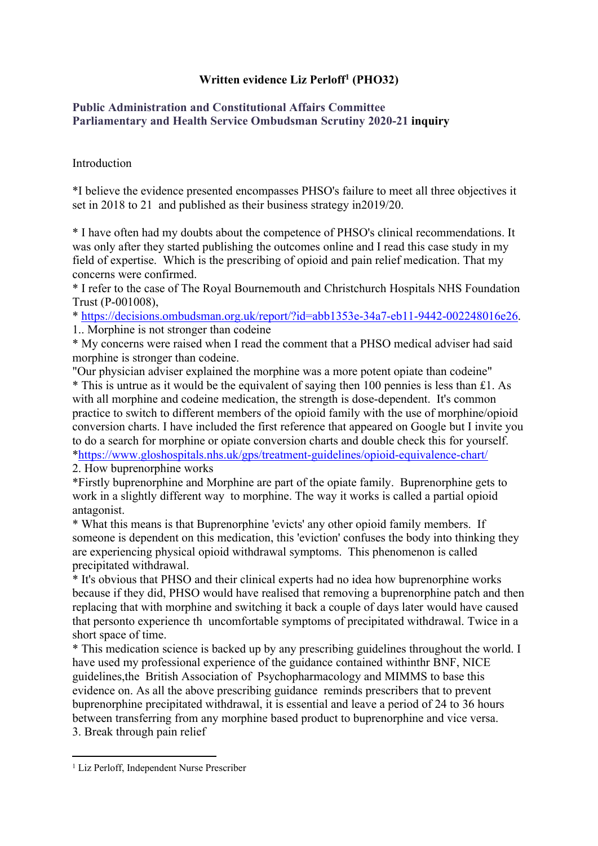## **Written evidence Liz Perloff<sup>1</sup> (PHO32)**

## **[Public](https://admin.committees.parliament.uk/Committee/Edit/327) [Administration](https://admin.committees.parliament.uk/Committee/Edit/327) [and](https://admin.committees.parliament.uk/Committee/Edit/327) [Constitutional](https://admin.committees.parliament.uk/Committee/Edit/327) [Affairs](https://admin.committees.parliament.uk/Committee/Edit/327) [Committee](https://admin.committees.parliament.uk/Committee/Edit/327) [Parliamentary](https://admin.committees.parliament.uk/Committee/327/CommitteeBusiness/Edit/1503) [and](https://admin.committees.parliament.uk/Committee/327/CommitteeBusiness/Edit/1503) [Health](https://admin.committees.parliament.uk/Committee/327/CommitteeBusiness/Edit/1503) [Service](https://admin.committees.parliament.uk/Committee/327/CommitteeBusiness/Edit/1503) [Ombudsman](https://admin.committees.parliament.uk/Committee/327/CommitteeBusiness/Edit/1503) [Scrutiny](https://admin.committees.parliament.uk/Committee/327/CommitteeBusiness/Edit/1503) [2020-21](https://admin.committees.parliament.uk/Committee/327/CommitteeBusiness/Edit/1503) inquiry**

## Introduction

\*I believe the evidence presented encompasses PHSO's failure to meet all three objectives it set in 2018 to 21 and published as their business strategy in2019/20.

\* I have often had my doubts about the competence of PHSO's clinical recommendations. It was only after they started publishing the outcomes online and I read this case study in my field of expertise. Which is the prescribing of opioid and pain relief medication. That my concerns were confirmed.

\* I refer to the case of The Royal Bournemouth and Christchurch Hospitals NHS Foundation Trust (P-001008),

\* [https://decisions.ombudsman.org.uk/report/?id=abb1353e-34a7-eb11-9442-002248016e26.](https://protect-eu.mimecast.com/s/S1dJCK13nCgzz8JSMqw7e?domain=decisions.ombudsman.org.uk) 1.. Morphine is not stronger than codeine

\* My concerns were raised when I read the comment that a PHSO medical adviser had said morphine is stronger than codeine.

"Our physician adviser explained the morphine was a more potent opiate than codeine" \* This is untrue as it would be the equivalent of saying then 100 pennies is less than £1. As with all morphine and codeine medication, the strength is dose-dependent. It's common practice to switch to different members of the opioid family with the use of morphine/opioid conversion charts. I have included the first reference that appeared on Google but I invite you to do a search for morphine or opiate conversion charts and double check this for yourself. \*[https://www.gloshospitals.nhs.uk/gps/treatment-guidelines/opioid-equivalence-chart/](https://protect-eu.mimecast.com/s/WtsZCL73oFxyyNvsqszCU?domain=gloshospitals.nhs.uk/)

2. How buprenorphine works

\*Firstly buprenorphine and Morphine are part of the opiate family. Buprenorphine gets to work in a slightly different way to morphine. The way it works is called a partial opioid antagonist.

\* What this means is that Buprenorphine 'evicts' any other opioid family members. If someone is dependent on this medication, this 'eviction' confuses the body into thinking they are experiencing physical opioid withdrawal symptoms. This phenomenon is called precipitated withdrawal.

\* It's obvious that PHSO and their clinical experts had no idea how buprenorphine works because if they did, PHSO would have realised that removing a buprenorphine patch and then replacing that with morphine and switching it back a couple of days later would have caused that personto experience th uncomfortable symptoms of precipitated withdrawal. Twice in a short space of time.

\* This medication science is backed up by any prescribing guidelines throughout the world. I have used my professional experience of the guidance contained withinthr BNF, NICE guidelines,the British Association of Psychopharmacology and MIMMS to base this evidence on. As all the above prescribing guidance reminds prescribers that to prevent buprenorphine precipitated withdrawal, it is essential and leave a period of 24 to 36 hours between transferring from any morphine based product to buprenorphine and vice versa. 3. Break through pain relief

<sup>1</sup> Liz Perloff, Independent Nurse Prescriber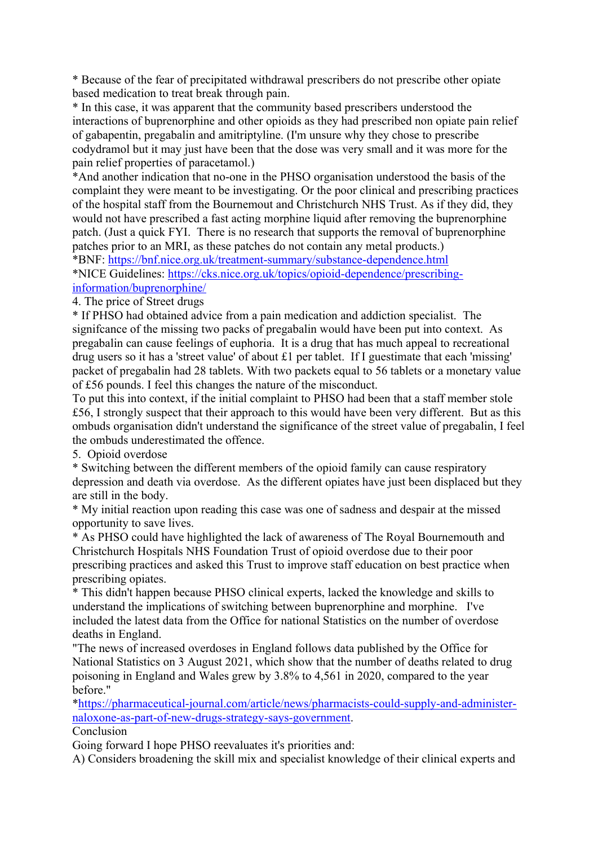\* Because of the fear of precipitated withdrawal prescribers do not prescribe other opiate based medication to treat break through pain.

\* In this case, it was apparent that the community based prescribers understood the interactions of buprenorphine and other opioids as they had prescribed non opiate pain relief of gabapentin, pregabalin and amitriptyline. (I'm unsure why they chose to prescribe codydramol but it may just have been that the dose was very small and it was more for the pain relief properties of paracetamol.)

\*And another indication that no-one in the PHSO organisation understood the basis of the complaint they were meant to be investigating. Or the poor clinical and prescribing practices of the hospital staff from the Bournemout and Christchurch NHS Trust. As if they did, they would not have prescribed a fast acting morphine liquid after removing the buprenorphine patch. (Just a quick FYI. There is no research that supports the removal of buprenorphine patches prior to an MRI, as these patches do not contain any metal products.) \*BNF: [https://bnf.nice.org.uk/treatment-summary/substance-dependence.html](https://protect-eu.mimecast.com/s/ap4DCMw3pCKMMxlSJ5pNC?domain=bnf.nice.org.uk)

\*NICE Guidelines: [https://cks.nice.org.uk/topics/opioid-dependence/prescribing](https://protect-eu.mimecast.com/s/ABAXCNL3qiKDDVRSRObXc?domain=cks.nice.org.uk/)[information/buprenorphine/](https://protect-eu.mimecast.com/s/ABAXCNL3qiKDDVRSRObXc?domain=cks.nice.org.uk/)

4. The price of Street drugs

\* If PHSO had obtained advice from a pain medication and addiction specialist. The signifcance of the missing two packs of pregabalin would have been put into context. As pregabalin can cause feelings of euphoria. It is a drug that has much appeal to recreational drug users so it has a 'street value' of about £1 per tablet. If I guestimate that each 'missing' packet of pregabalin had 28 tablets. With two packets equal to 56 tablets or a monetary value of £56 pounds. I feel this changes the nature of the misconduct.

To put this into context, if the initial complaint to PHSO had been that a staff member stole £56, I strongly suspect that their approach to this would have been very different. But as this ombuds organisation didn't understand the significance of the street value of pregabalin, I feel the ombuds underestimated the offence.

5. Opioid overdose

\* Switching between the different members of the opioid family can cause respiratory depression and death via overdose. As the different opiates have just been displaced but they are still in the body.

\* My initial reaction upon reading this case was one of sadness and despair at the missed opportunity to save lives.

\* As PHSO could have highlighted the lack of awareness of The Royal Bournemouth and Christchurch Hospitals NHS Foundation Trust of opioid overdose due to their poor prescribing practices and asked this Trust to improve staff education on best practice when prescribing opiates.

\* This didn't happen because PHSO clinical experts, lacked the knowledge and skills to understand the implications of switching between buprenorphine and morphine. I've included the latest data from the Office for national Statistics on the number of overdose deaths in England.

"The news of increased overdoses in England follows data published by the Office for National Statistics on 3 August 2021, which show that the number of deaths related to drug poisoning in England and Wales grew by 3.8% to 4,561 in 2020, compared to the year before."

[\\*https://pharmaceutical-journal.com/article/news/pharmacists-could-supply-and-administer](https://protect-eu.mimecast.com/s/ICpHCOM3rcVzz5GuPIZ7A?domain=pharmaceutical-journal.com)[naloxone-as-part-of-new-drugs-strategy-says-government](https://protect-eu.mimecast.com/s/ICpHCOM3rcVzz5GuPIZ7A?domain=pharmaceutical-journal.com).

## Conclusion

Going forward I hope PHSO reevaluates it's priorities and:

A) Considers broadening the skill mix and specialist knowledge of their clinical experts and